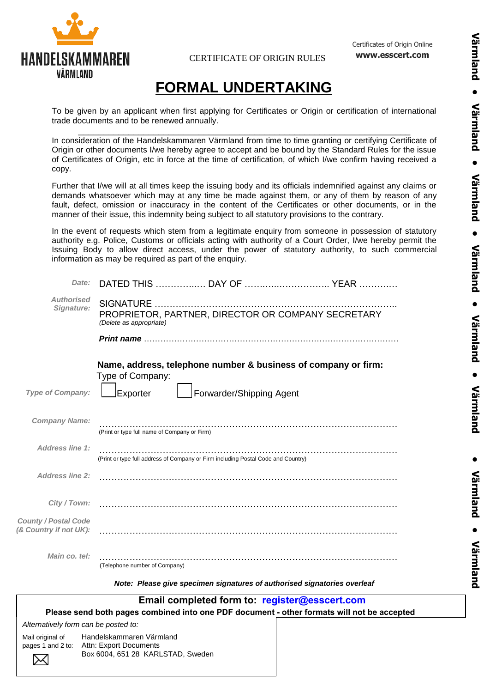

CERTIFICATE OF ORIGIN RULES

Certificates of Origin Online **www.esscert.com**

## **FORMAL UNDERTAKING**

To be given by an applicant when first applying for Certificates or Origin or certification of international trade documents and to be renewed annually. \_\_\_\_\_\_\_\_\_\_\_\_\_\_\_\_\_\_\_\_\_\_\_\_\_\_\_\_\_\_\_\_\_\_\_\_\_\_\_\_\_\_\_\_\_\_\_\_\_\_\_\_\_\_\_\_\_\_\_\_\_\_\_\_\_\_

In consideration of the Handelskammaren Värmland from time to time granting or certifying Certificate of Origin or other documents I/we hereby agree to accept and be bound by the Standard Rules for the issue of Certificates of Origin, etc in force at the time of certification, of which I/we confirm having received a copy.

Further that I/we will at all times keep the issuing body and its officials indemnified against any claims or demands whatsoever which may at any time be made against them, or any of them by reason of any fault, defect, omission or inaccuracy in the content of the Certificates or other documents, or in the manner of their issue, this indemnity being subject to all statutory provisions to the contrary.

In the event of requests which stem from a legitimate enquiry from someone in possession of statutory authority e.g. Police, Customs or officials acting with authority of a Court Order, I/we hereby permit the Issuing Body to allow direct access, under the power of statutory authority, to such commercial information as may be required as part of the enquiry.

| Date:                                                 |                                                             |                                                                                   | DATED THIS  DAY OF  YEAR                                                                   |
|-------------------------------------------------------|-------------------------------------------------------------|-----------------------------------------------------------------------------------|--------------------------------------------------------------------------------------------|
| <b>Authorised</b><br>Signature:                       | (Delete as appropriate)                                     |                                                                                   | PROPRIETOR, PARTNER, DIRECTOR OR COMPANY SECRETARY                                         |
|                                                       |                                                             |                                                                                   |                                                                                            |
| Type of Company:                                      | Type of Company:<br>Exporter                                | Forwarder/Shipping Agent                                                          | Name, address, telephone number & business of company or firm:                             |
| <b>Company Name:</b>                                  | (Print or type full name of Company or Firm)                |                                                                                   |                                                                                            |
| <b>Address line 1:</b>                                |                                                             | (Print or type full address of Company or Firm including Postal Code and Country) |                                                                                            |
| <b>Address line 2:</b>                                |                                                             |                                                                                   |                                                                                            |
| City / Town:                                          |                                                             |                                                                                   |                                                                                            |
| <b>County / Postal Code</b><br>(& Country if not UK): |                                                             |                                                                                   |                                                                                            |
| Main co. tel:                                         | (Telephone number of Company)                               |                                                                                   |                                                                                            |
|                                                       |                                                             | Note: Please give specimen signatures of authorised signatories overleaf          |                                                                                            |
|                                                       |                                                             | Email completed form to: register@esscert.com                                     |                                                                                            |
| Alternatively form can be posted to:                  |                                                             |                                                                                   | Please send both pages combined into one PDF document - other formats will not be accepted |
| Mail original of                                      | Handelskammaren Värmland                                    |                                                                                   |                                                                                            |
| pages 1 and 2 to:                                     | Attn: Export Documents<br>Box 6004, 651 28 KARLSTAD, Sweden |                                                                                   |                                                                                            |